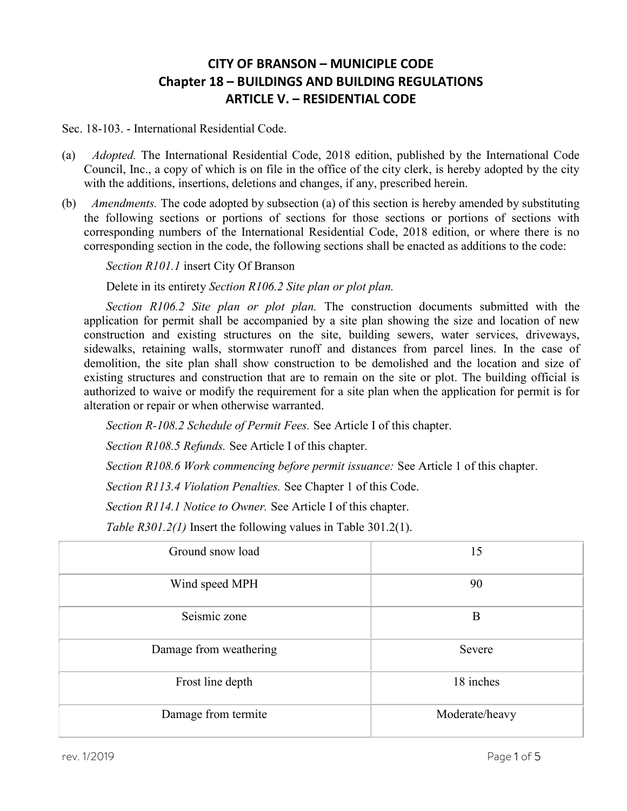## CITY OF BRANSON – MUNICIPLE CODE Chapter 18 – BUILDINGS AND BUILDING REGULATIONS ARTICLE V. – RESIDENTIAL CODE

Sec. 18-103. - International Residential Code.

- (a) Adopted. The International Residential Code, 2018 edition, published by the International Code Council, Inc., a copy of which is on file in the office of the city clerk, is hereby adopted by the city with the additions, insertions, deletions and changes, if any, prescribed herein.
- (b) Amendments. The code adopted by subsection (a) of this section is hereby amended by substituting the following sections or portions of sections for those sections or portions of sections with corresponding numbers of the International Residential Code, 2018 edition, or where there is no corresponding section in the code, the following sections shall be enacted as additions to the code:

Section R101.1 insert City Of Branson

Delete in its entirety Section R106.2 Site plan or plot plan.

Section R106.2 Site plan or plot plan. The construction documents submitted with the application for permit shall be accompanied by a site plan showing the size and location of new construction and existing structures on the site, building sewers, water services, driveways, sidewalks, retaining walls, stormwater runoff and distances from parcel lines. In the case of demolition, the site plan shall show construction to be demolished and the location and size of existing structures and construction that are to remain on the site or plot. The building official is authorized to waive or modify the requirement for a site plan when the application for permit is for alteration or repair or when otherwise warranted.

Section R-108.2 Schedule of Permit Fees. See Article I of this chapter.

Section R108.5 Refunds. See Article I of this chapter.

Section R108.6 Work commencing before permit issuance: See Article 1 of this chapter.

Section R113.4 Violation Penalties. See Chapter 1 of this Code.

Section R114.1 Notice to Owner. See Article I of this chapter.

Table R301.2(1) Insert the following values in Table 301.2(1).

| Ground snow load       | 15             |
|------------------------|----------------|
| Wind speed MPH         | 90             |
| Seismic zone           | B              |
| Damage from weathering | Severe         |
| Frost line depth       | 18 inches      |
| Damage from termite    | Moderate/heavy |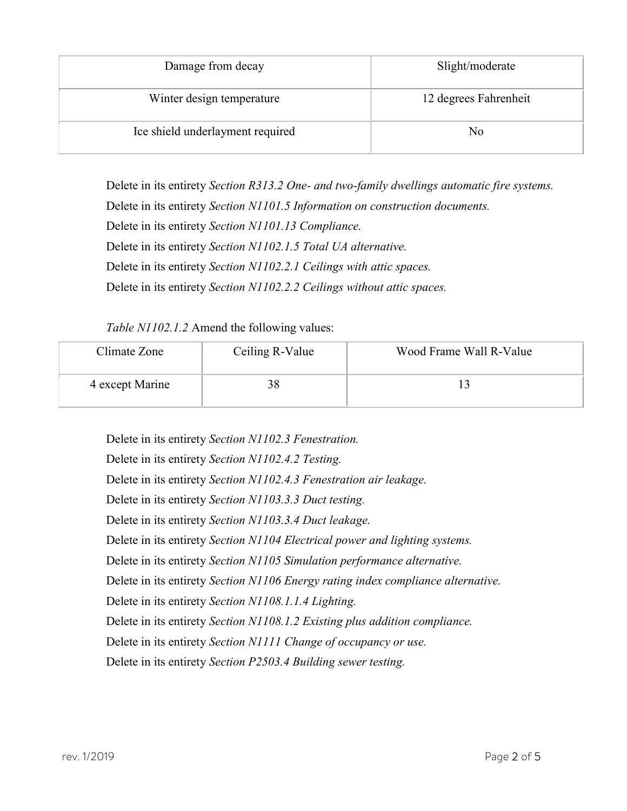| Damage from decay                | Slight/moderate       |
|----------------------------------|-----------------------|
| Winter design temperature        | 12 degrees Fahrenheit |
| Ice shield underlayment required | No                    |

Delete in its entirety Section R313.2 One- and two-family dwellings automatic fire systems.

Delete in its entirety Section N1101.5 Information on construction documents.

Delete in its entirety Section N1101.13 Compliance.

Delete in its entirety Section N1102.1.5 Total UA alternative.

Delete in its entirety Section N1102.2.1 Ceilings with attic spaces.

Delete in its entirety Section N1102.2.2 Ceilings without attic spaces.

## Table N1102.1.2 Amend the following values:

| Climate Zone    | Ceiling R-Value | Wood Frame Wall R-Value |
|-----------------|-----------------|-------------------------|
| 4 except Marine |                 |                         |

Delete in its entirety Section N1102.3 Fenestration. Delete in its entirety Section N1102.4.2 Testing. Delete in its entirety Section N1102.4.3 Fenestration air leakage. Delete in its entirety Section N1103.3.3 Duct testing. Delete in its entirety Section N1103.3.4 Duct leakage. Delete in its entirety Section N1104 Electrical power and lighting systems. Delete in its entirety Section N1105 Simulation performance alternative. Delete in its entirety Section N1106 Energy rating index compliance alternative. Delete in its entirety Section N1108.1.1.4 Lighting. Delete in its entirety Section N1108.1.2 Existing plus addition compliance. Delete in its entirety Section N1111 Change of occupancy or use. Delete in its entirety Section P2503.4 Building sewer testing.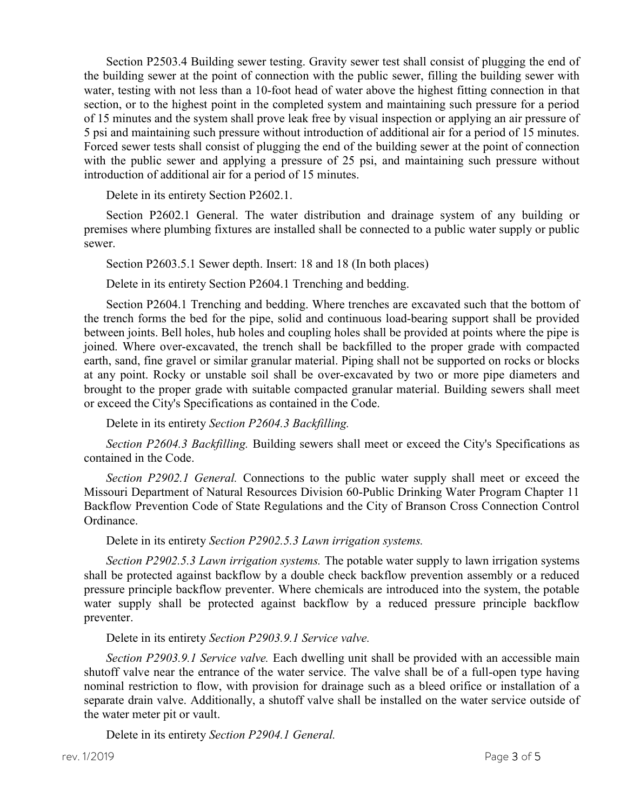Section P2503.4 Building sewer testing. Gravity sewer test shall consist of plugging the end of the building sewer at the point of connection with the public sewer, filling the building sewer with water, testing with not less than a 10-foot head of water above the highest fitting connection in that section, or to the highest point in the completed system and maintaining such pressure for a period of 15 minutes and the system shall prove leak free by visual inspection or applying an air pressure of 5 psi and maintaining such pressure without introduction of additional air for a period of 15 minutes. Forced sewer tests shall consist of plugging the end of the building sewer at the point of connection with the public sewer and applying a pressure of 25 psi, and maintaining such pressure without introduction of additional air for a period of 15 minutes.

Delete in its entirety Section P2602.1.

Section P2602.1 General. The water distribution and drainage system of any building or premises where plumbing fixtures are installed shall be connected to a public water supply or public sewer.

Section P2603.5.1 Sewer depth. Insert: 18 and 18 (In both places)

Delete in its entirety Section P2604.1 Trenching and bedding.

Section P2604.1 Trenching and bedding. Where trenches are excavated such that the bottom of the trench forms the bed for the pipe, solid and continuous load-bearing support shall be provided between joints. Bell holes, hub holes and coupling holes shall be provided at points where the pipe is joined. Where over-excavated, the trench shall be backfilled to the proper grade with compacted earth, sand, fine gravel or similar granular material. Piping shall not be supported on rocks or blocks at any point. Rocky or unstable soil shall be over-excavated by two or more pipe diameters and brought to the proper grade with suitable compacted granular material. Building sewers shall meet or exceed the City's Specifications as contained in the Code.

Delete in its entirety Section P2604.3 Backfilling.

Section P2604.3 Backfilling. Building sewers shall meet or exceed the City's Specifications as contained in the Code.

Section P2902.1 General. Connections to the public water supply shall meet or exceed the Missouri Department of Natural Resources Division 60-Public Drinking Water Program Chapter 11 Backflow Prevention Code of State Regulations and the City of Branson Cross Connection Control Ordinance.

Delete in its entirety Section P2902.5.3 Lawn irrigation systems.

Section P2902.5.3 Lawn irrigation systems. The potable water supply to lawn irrigation systems shall be protected against backflow by a double check backflow prevention assembly or a reduced pressure principle backflow preventer. Where chemicals are introduced into the system, the potable water supply shall be protected against backflow by a reduced pressure principle backflow preventer.

Delete in its entirety Section P2903.9.1 Service valve.

Section P2903.9.1 Service valve. Each dwelling unit shall be provided with an accessible main shutoff valve near the entrance of the water service. The valve shall be of a full-open type having nominal restriction to flow, with provision for drainage such as a bleed orifice or installation of a separate drain valve. Additionally, a shutoff valve shall be installed on the water service outside of the water meter pit or vault.

Delete in its entirety Section P2904.1 General.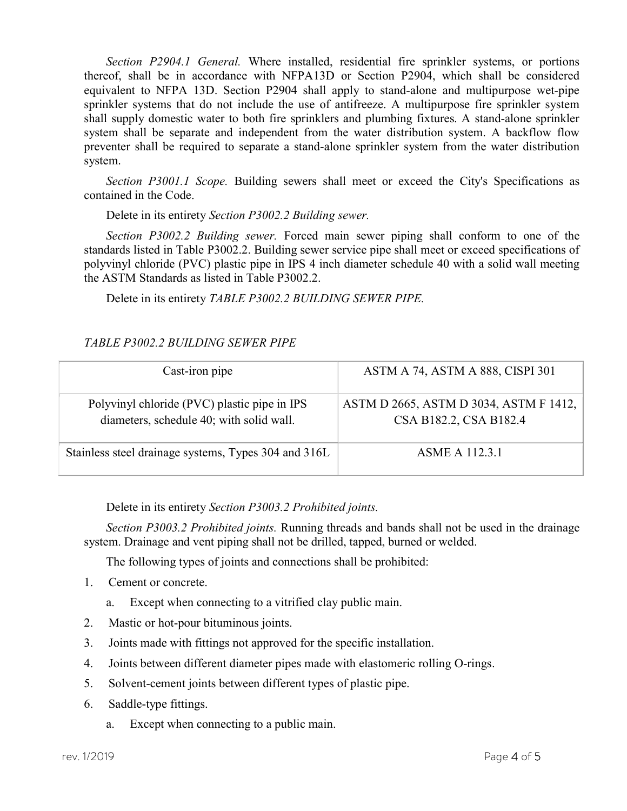Section P2904.1 General. Where installed, residential fire sprinkler systems, or portions thereof, shall be in accordance with NFPA13D or Section P2904, which shall be considered equivalent to NFPA 13D. Section P2904 shall apply to stand-alone and multipurpose wet-pipe sprinkler systems that do not include the use of antifreeze. A multipurpose fire sprinkler system shall supply domestic water to both fire sprinklers and plumbing fixtures. A stand-alone sprinkler system shall be separate and independent from the water distribution system. A backflow flow preventer shall be required to separate a stand-alone sprinkler system from the water distribution system.

Section P3001.1 Scope. Building sewers shall meet or exceed the City's Specifications as contained in the Code.

Delete in its entirety Section P3002.2 Building sewer.

Section P3002.2 Building sewer. Forced main sewer piping shall conform to one of the standards listed in Table P3002.2. Building sewer service pipe shall meet or exceed specifications of polyvinyl chloride (PVC) plastic pipe in IPS 4 inch diameter schedule 40 with a solid wall meeting the ASTM Standards as listed in Table P3002.2.

Delete in its entirety TABLE P3002.2 BUILDING SEWER PIPE.

## TABLE P3002.2 BUILDING SEWER PIPE

| Cast-iron pipe                                                                           | ASTM A 74, ASTM A 888, CISPI 301                                 |
|------------------------------------------------------------------------------------------|------------------------------------------------------------------|
| Polyvinyl chloride (PVC) plastic pipe in IPS<br>diameters, schedule 40; with solid wall. | ASTM D 2665, ASTM D 3034, ASTM F 1412,<br>CSA B182.2, CSA B182.4 |
| Stainless steel drainage systems, Types 304 and 316L                                     | ASME A 112.3.1                                                   |

Delete in its entirety Section P3003.2 Prohibited joints.

Section P3003.2 Prohibited joints. Running threads and bands shall not be used in the drainage system. Drainage and vent piping shall not be drilled, tapped, burned or welded.

The following types of joints and connections shall be prohibited:

- 1. Cement or concrete.
	- a. Except when connecting to a vitrified clay public main.
- 2. Mastic or hot-pour bituminous joints.
- 3. Joints made with fittings not approved for the specific installation.
- 4. Joints between different diameter pipes made with elastomeric rolling O-rings.
- 5. Solvent-cement joints between different types of plastic pipe.
- 6. Saddle-type fittings.
	- a. Except when connecting to a public main.